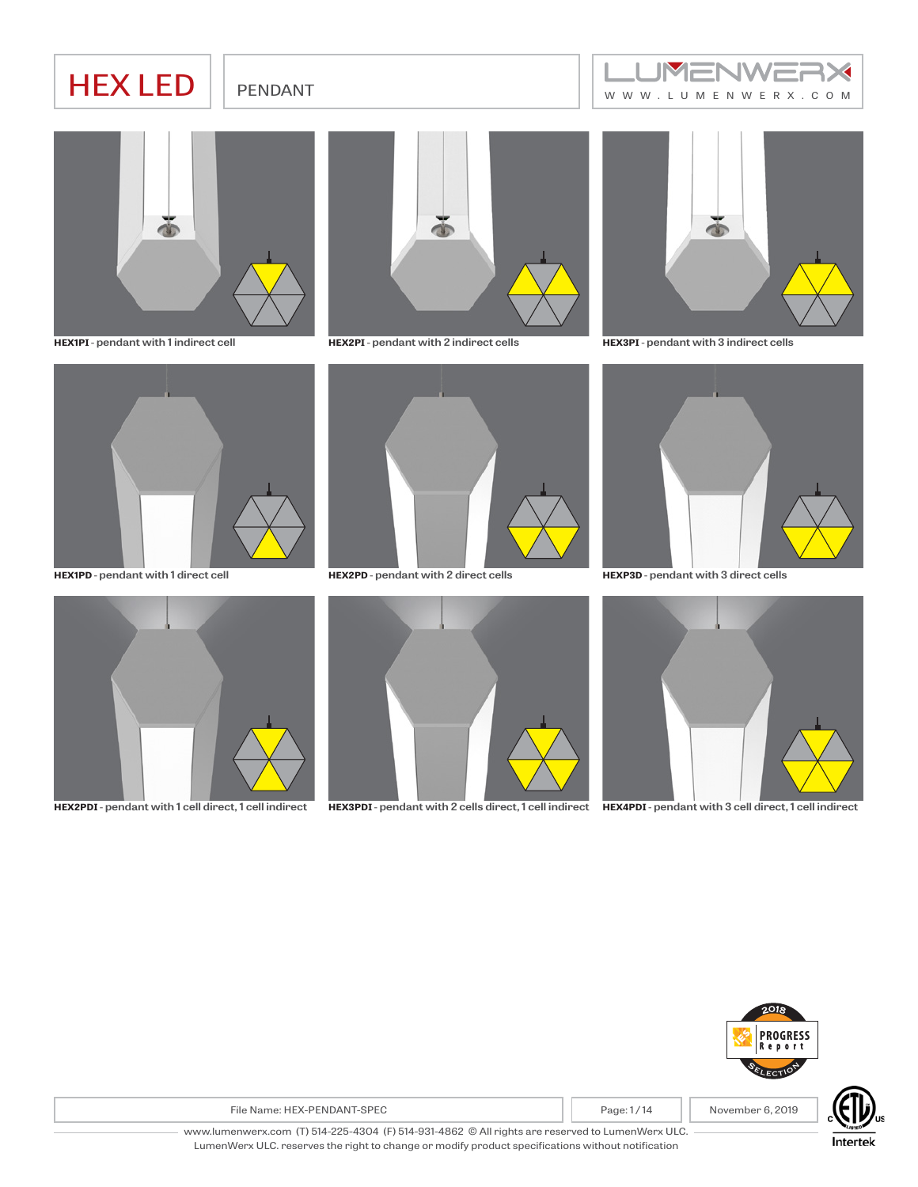# HEX LED FENDANT HER WERE RESERVED



**HEX1PI** - **pendant with 1 indirect cell**



**HEX2PI** - **pendant with 2 indirect cells**



**HEX3PI** - **pendant with 3 indirect cells**



**HEX1PD** - **pendant with 1 direct cell**



**HEX2PD** - **pendant with 2 direct cells**



**HEX2PDI** - **pendant with 1 cell direct, 1 cell indirect**





**HEXP3D** - **pendant with 3 direct cells**



**HEX3PDI** - **pendant with 2 cells direct, 1 cell indirect HEX4PDI** - **pendant with 3 cell direct, 1 cell indirect**



File Name: HEX-PENDANT-SPEC **Page: 1** Page: 1/14 November 6, 2019



www.lumenwerx.com (T) 514-225-4304 (F) 514-931-4862 © All rights are reserved to LumenWerx ULC. LumenWerx ULC. reserves the right to change or modify product specifications without notification

Intertek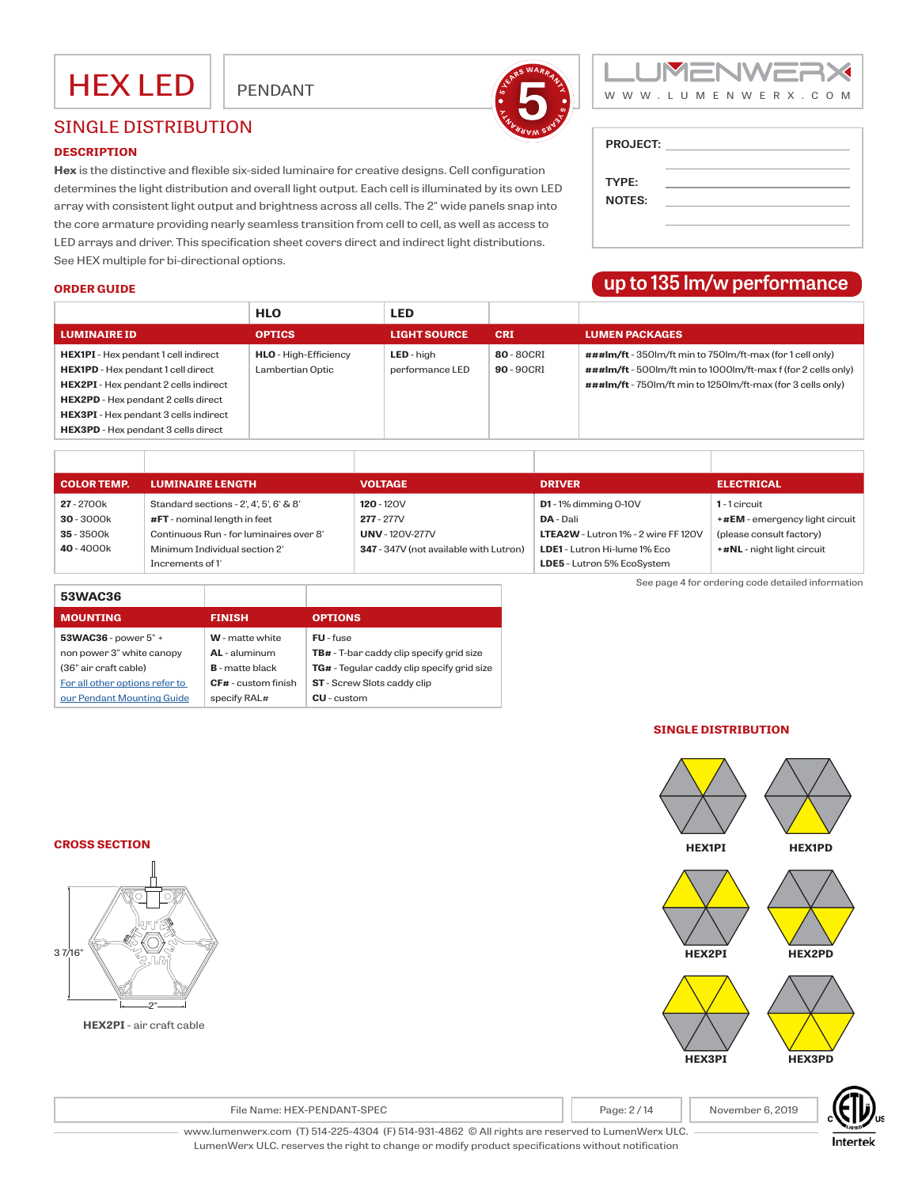



**up to 135 lm/w performance**

**PROJECT:**

**TYPE: NOTES:**

## SINGLE DISTRIBUTION

#### **DESCRIPTION**

**Hex** is the distinctive and flexible six-sided luminaire for creative designs. Cell configuration determines the light distribution and overall light output. Each cell is illuminated by its own LED array with consistent light output and brightness across all cells. The 2" wide panels snap into the core armature providing nearly seamless transition from cell to cell, as well as access to LED arrays and driver. This specification sheet covers direct and indirect light distributions. See HEX multiple for bi-directional options.

#### **ORDER GUIDE**

|                                                                                            | <b>HLO</b>                                       | <b>LED</b>                           |                           |                                                                                                                            |
|--------------------------------------------------------------------------------------------|--------------------------------------------------|--------------------------------------|---------------------------|----------------------------------------------------------------------------------------------------------------------------|
| <b>LUMINAIRE ID</b>                                                                        | <b>OPTICS</b>                                    | <b>LIGHT SOURCE</b>                  | <b>CRI</b>                | <b>LUMEN PACKAGES</b>                                                                                                      |
| <b>HEX1PI</b> - Hex pendant 1 cell indirect<br>HEX1PD - Hex pendant 1 cell direct          | <b>HLO</b> - High-Efficiency<br>Lambertian Optic | <b>LED</b> - high<br>performance LED | 80 - 80 CRI<br>90 - 90CRI | ###lm/ft - 350lm/ft min to 750lm/ft-max (for 1 cell only)<br>###lm/ft - 500lm/ft min to 1000lm/ft-max f (for 2 cells only) |
| <b>HEX2PI</b> - Hex pendant 2 cells indirect<br><b>HEX2PD</b> - Hex pendant 2 cells direct |                                                  |                                      |                           | ###lm/ft - 750lm/ft min to 1250lm/ft-max (for 3 cells only)                                                                |
| <b>HEX3PI</b> - Hex pendant 3 cells indirect                                               |                                                  |                                      |                           |                                                                                                                            |
| <b>HEX3PD</b> - Hex pendant 3 cells direct                                                 |                                                  |                                      |                           |                                                                                                                            |

| <b>COLOR TEMP.</b> | <b>LUMINAIRE LENGTH</b>                 | <b>VOLTAGE</b>                         | <b>DRIVER</b>                              | <b>ELECTRICAL</b>              |
|--------------------|-----------------------------------------|----------------------------------------|--------------------------------------------|--------------------------------|
| 27 - 2700k         | Standard sections - 2', 4', 5', 6' & 8' | $120 - 120V$                           | $D1 - 1%$ dimming 0-10V                    | 1-1 circuit                    |
| 30 - 3000k         | #FT - nominal length in feet            | $277 - 277V$                           | DA - Dali                                  | +#EM - emergency light circuit |
| 35 - 3500k         | Continuous Run - for luminaires over 8' | <b>UNV</b> - 120V-277V                 | <b>LTEA2W</b> - Lutron 1% - 2 wire FF 120V | (please consult factory)       |
| 40 - 4000k         | Minimum Individual section 2'           | 347 - 347V (not available with Lutron) | LDE1 - Lutron Hi-lume 1% Eco               | +#NL - night light circuit     |
|                    | Increments of 1'                        |                                        | LDE5 - Lutron 5% EcoSystem                 |                                |

| 53WAC36                        |                        |                                                   |
|--------------------------------|------------------------|---------------------------------------------------|
| <b>MOUNTING</b>                | <b>FINISH</b>          | <b>OPTIONS</b>                                    |
| $53WAC36$ - power $5"$ +       | <b>W</b> - matte white | <b>FU</b> - fuse                                  |
| non power 3" white canopy      | $AL -$ aluminum        | <b>TB#</b> - T-bar caddy clip specify grid size   |
| (36" air craft cable)          | <b>B</b> - matte black | <b>TG#</b> - Tegular caddy clip specify grid size |
| For all other options refer to | $CF#$ - custom finish  | <b>ST</b> - Screw Slots caddy clip                |
| our Pendant Mounting Guide     | specify RAL#           | <b>CU</b> - custom                                |

See page 4 for ordering code detailed information

### **SINGLE DISTRIBUTION**



**CROSS SECTION**



**HEX2PI** - air craft cable

File Name: HEX-PENDANT-SPEC **Page: 2** / 14 November 6, 2019



www.lumenwerx.com (T) 514-225-4304 (F) 514-931-4862 © All rights are reserved to LumenWerx ULC. LumenWerx ULC. reserves the right to change or modify product specifications without notification

Intertek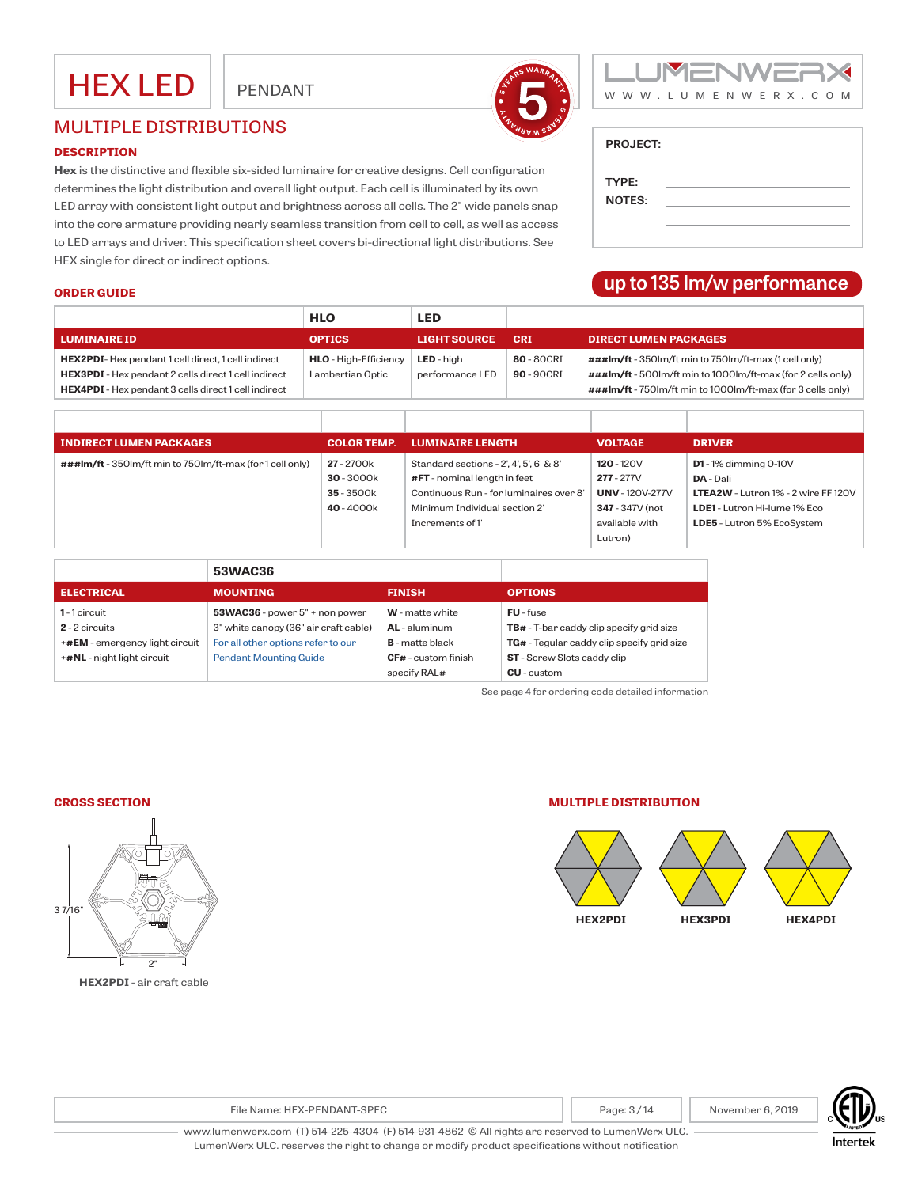



## MULTIPLE DISTRIBUTIONS

#### **DESCRIPTION**

**Hex** is the distinctive and flexible six-sided luminaire for creative designs. Cell configuration determines the light distribution and overall light output. Each cell is illuminated by its own LED array with consistent light output and brightness across all cells. The 2" wide panels snap into the core armature providing nearly seamless transition from cell to cell, as well as access to LED arrays and driver. This specification sheet covers bi-directional light distributions. See HEX single for direct or indirect options.

| <b>PROJECT:</b> |  |
|-----------------|--|
| TYPE:           |  |
| <b>NOTES:</b>   |  |
|                 |  |

## **up to 135 lm/w performance**

#### **ORDER GUIDE**

|                                                                                                                                                                                  | <b>HLO</b>                                       | <b>LED</b>                           |                           |                                                                                                                                                                                                              |
|----------------------------------------------------------------------------------------------------------------------------------------------------------------------------------|--------------------------------------------------|--------------------------------------|---------------------------|--------------------------------------------------------------------------------------------------------------------------------------------------------------------------------------------------------------|
| <b>LUMINAIRE ID</b>                                                                                                                                                              | <b>OPTICS</b>                                    | <b>LIGHT SOURCE</b>                  | <b>CRI</b>                | <b>DIRECT LUMEN PACKAGES</b>                                                                                                                                                                                 |
| HEX2PDI-Hex pendant 1 cell direct, 1 cell indirect<br><b>HEX3PDI</b> - Hex pendant 2 cells direct 1 cell indirect<br><b>HEX4PDI</b> - Hex pendant 3 cells direct 1 cell indirect | <b>HLO</b> - High-Efficiency<br>Lambertian Optic | <b>LED</b> - high<br>performance LED | 80 - 80 CRI<br>90 - 90CRI | $###Im/ft - 350$ lm/ft min to 750lm/ft-max (1 cell only)<br>$\# \# \# \text{Im}/\text{ft}$ - 500lm/ft min to 1000lm/ft-max (for 2 cells only)<br>###lm/ft - 750lm/ft min to 1000lm/ft-max (for 3 cells only) |

| <b>INDIRECT LUMEN PACKAGES</b>                            | <b>COLOR TEMP.</b> | <b>LUMINAIRE LENGTH</b>                 | <b>VOLTAGE</b>       | <b>DRIVER</b>                              |
|-----------------------------------------------------------|--------------------|-----------------------------------------|----------------------|--------------------------------------------|
| ###lm/ft - 350lm/ft min to 750lm/ft-max (for 1 cell only) | 27 - 2700k         | Standard sections - 2', 4', 5', 6' & 8' | $120 - 120V$         | $D1 - 1%$ dimming 0-10V                    |
|                                                           | $30 - 3000k$       | $#FT$ - nominal length in feet          | $277 - 277V$         | <b>DA</b> - Dali                           |
|                                                           | $35 - 3500k$       | Continuous Run - for luminaires over 8' | <b>UNV-120V-277V</b> | <b>LTEA2W</b> - Lutron 1% - 2 wire FF 120V |
|                                                           | 40 - 4000k         | Minimum Individual section 2'           | 347 - 347V (not      | LDE1 - Lutron Hi-lume 1% Eco               |
|                                                           |                    | Increments of 1'                        | available with       | LDE5 - Lutron 5% EcoSystem                 |
|                                                           |                    |                                         | Lutron)              |                                            |

|                                | 53WAC36                               |                            |                                                 |
|--------------------------------|---------------------------------------|----------------------------|-------------------------------------------------|
| <b>ELECTRICAL</b>              | <b>MOUNTING</b>                       | <b>FINISH</b>              | <b>OPTIONS</b>                                  |
| 1-1 circuit                    | $53WAC36$ - power $5"$ + non power    | <b>W</b> - matte white     | <b>FU</b> - fuse                                |
| $2 - 2$ circuits               | 3" white canopy (36" air craft cable) | AL - aluminum              | <b>TB#</b> - T-bar caddy clip specify grid size |
| +#EM - emergency light circuit | For all other options refer to our    | <b>B</b> - matte black     | TG# - Tegular caddy clip specify grid size      |
| +#NL - night light circuit     | <b>Pendant Mounting Guide</b>         | <b>CF#</b> - custom finish | <b>ST</b> - Screw Slots caddy clip              |
|                                |                                       | specify RAL#               | $CU$ -custom                                    |

See page 4 for ordering code detailed information

#### **CROSS SECTION**



**HEX2PDI** - air craft cable

#### **MULTIPLE DISTRIBUTION**





File Name: HEX-PENDANT-SPEC **Page: 1** Page: 3 / 14 November 6, 2019

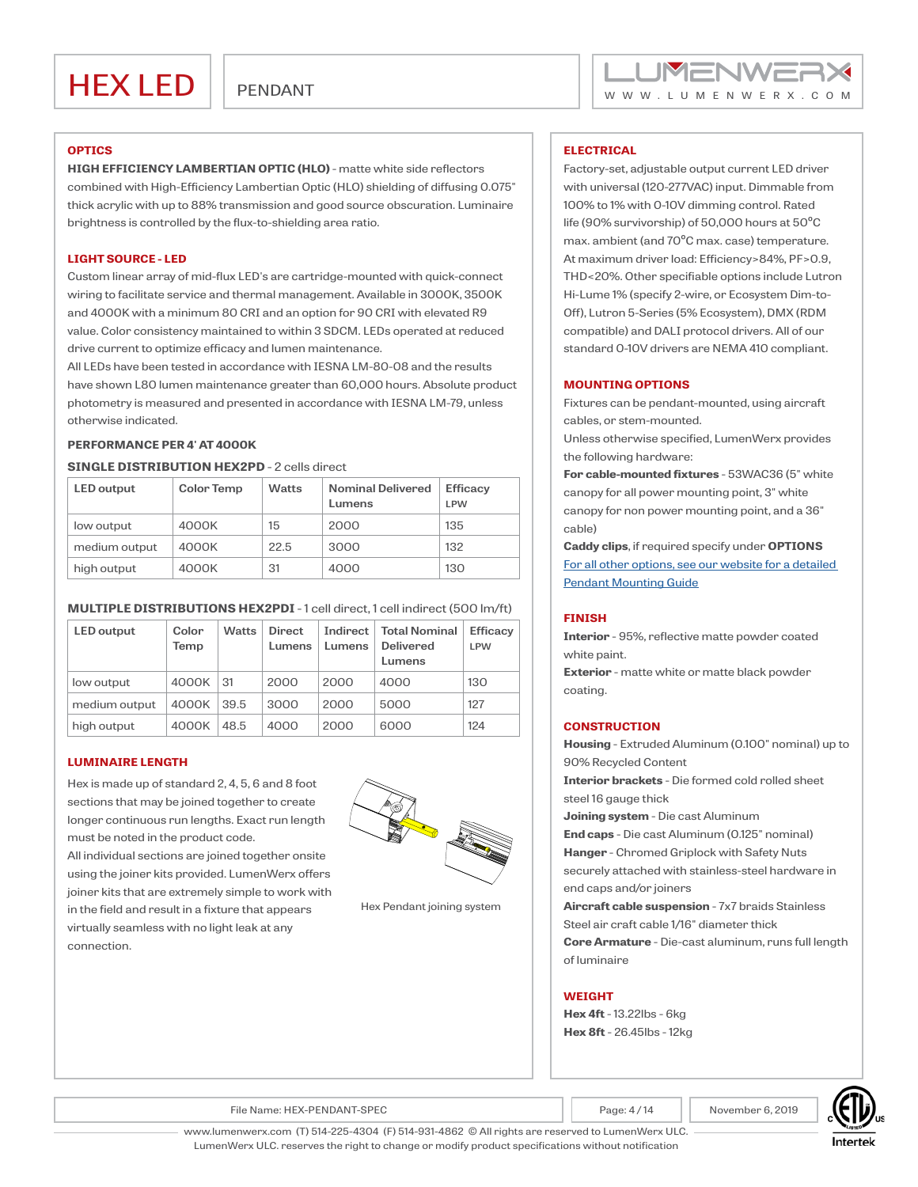#### **OPTICS**

**HIGH EFFICIENCY LAMBERTIAN OPTIC (HLO)** - matte white side reflectors combined with High-Efficiency Lambertian Optic (HLO) shielding of diffusing 0.075" thick acrylic with up to 88% transmission and good source obscuration. Luminaire brightness is controlled by the flux-to-shielding area ratio.

#### **LIGHT SOURCE - LED**

Custom linear array of mid-flux LED's are cartridge-mounted with quick-connect wiring to facilitate service and thermal management. Available in 3000K, 3500K and 4000K with a minimum 80 CRI and an option for 90 CRI with elevated R9 value. Color consistency maintained to within 3 SDCM. LEDs operated at reduced drive current to optimize efficacy and lumen maintenance.

All LEDs have been tested in accordance with IESNA LM-80-08 and the results have shown L80 lumen maintenance greater than 60,000 hours. Absolute product photometry is measured and presented in accordance with IESNA LM-79, unless otherwise indicated.

#### **PERFORMANCE PER 4' AT 4000K**

#### **SINGLE DISTRIBUTION HEX2PD** - 2 cells direct

| <b>LED</b> output | <b>Color Temp</b> | <b>Watts</b> | <b>Nominal Delivered</b><br>Lumens | <b>Efficacy</b><br><b>LPW</b> |
|-------------------|-------------------|--------------|------------------------------------|-------------------------------|
| low output        | 4000K             | 15           | 2000                               | 135                           |
| medium output     | 4000K             | 22.5         | 3000                               | 132                           |
| high output       | 4000K             | 31           | 4000                               | 130                           |

#### **MULTIPLE DISTRIBUTIONS HEX2PDI** - 1 cell direct, 1 cell indirect (500 lm/ft)

| <b>LED</b> output | Color<br>Temp | <b>Watts</b> | <b>Direct</b><br>Lumens | Indirect<br>Lumens | <b>Total Nominal</b><br><b>Delivered</b><br>Lumens | <b>Efficacv</b><br><b>LPW</b> |
|-------------------|---------------|--------------|-------------------------|--------------------|----------------------------------------------------|-------------------------------|
| low output        | 4000K         | 31           | 2000                    | 2000               | 4000                                               | 130                           |
| medium output     | 4000K         | 39.5         | 3000                    | 2000               | 5000                                               | 127                           |
| high output       | 4000K         | 48.5         | 4000                    | 2000               | 6000                                               | 124                           |

#### **LUMINAIRE LENGTH**

Hex is made up of standard 2, 4, 5, 6 and 8 foot sections that may be joined together to create longer continuous run lengths. Exact run length must be noted in the product code.

All individual sections are joined together onsite using the joiner kits provided. LumenWerx offers joiner kits that are extremely simple to work with in the field and result in a fixture that appears virtually seamless with no light leak at any connection.



Hex Pendant joining system

#### **ELECTRICAL**

Factory-set, adjustable output current LED driver with universal (120-277VAC) input. Dimmable from 100% to 1% with 0-10V dimming control. Rated life (90% survivorship) of 50,000 hours at 50ºC max. ambient (and 70ºC max. case) temperature. At maximum driver load: Efficiency>84%, PF>0.9, THD<20%. Other specifiable options include Lutron Hi-Lume 1% (specify 2-wire, or Ecosystem Dim-to-Off), Lutron 5-Series (5% Ecosystem), DMX (RDM compatible) and DALI protocol drivers. All of our standard 0-10V drivers are NEMA 410 compliant.

#### **MOUNTING OPTIONS**

Fixtures can be pendant-mounted, using aircraft cables, or stem-mounted.

Unless otherwise specified, LumenWerx provides the following hardware:

**For cable-mounted fixtures** - 53WAC36 (5" white canopy for all power mounting point, 3" white canopy for non power mounting point, and a 36" cable)

**Caddy clips**, if required specify under **OPTIONS** [For all other options, see our website for a detailed](http://www.lumenwerx.com/wp-content/files/Pendant-Fixtures-Mounting-Guide.pdf)  [Pendant Mounting Guide](http://www.lumenwerx.com/wp-content/files/Pendant-Fixtures-Mounting-Guide.pdf)

#### **FINISH**

**Interior** - 95%, reflective matte powder coated white paint.

**Exterior** - matte white or matte black powder coating.

#### **CONSTRUCTION**

**Housing** - Extruded Aluminum (0.100" nominal) up to 90% Recycled Content

**Interior brackets** - Die formed cold rolled sheet steel 16 gauge thick

**Joining system** - Die cast Aluminum

**End caps** - Die cast Aluminum (0.125" nominal) **Hanger** - Chromed Griplock with Safety Nuts securely attached with stainless-steel hardware in end caps and/or joiners

**Aircraft cable suspension** - 7x7 braids Stainless Steel air craft cable 1/16" diameter thick

**Core Armature** - Die-cast aluminum, runs full length of luminaire

### **WEIGHT**

**Hex 4ft** - 13.22lbs - 6kg **Hex 8ft** - 26.45lbs - 12kg

File Name: HEX-PENDANT-SPEC **Page: 4** and Page: 4 / 14 November 6, 2019



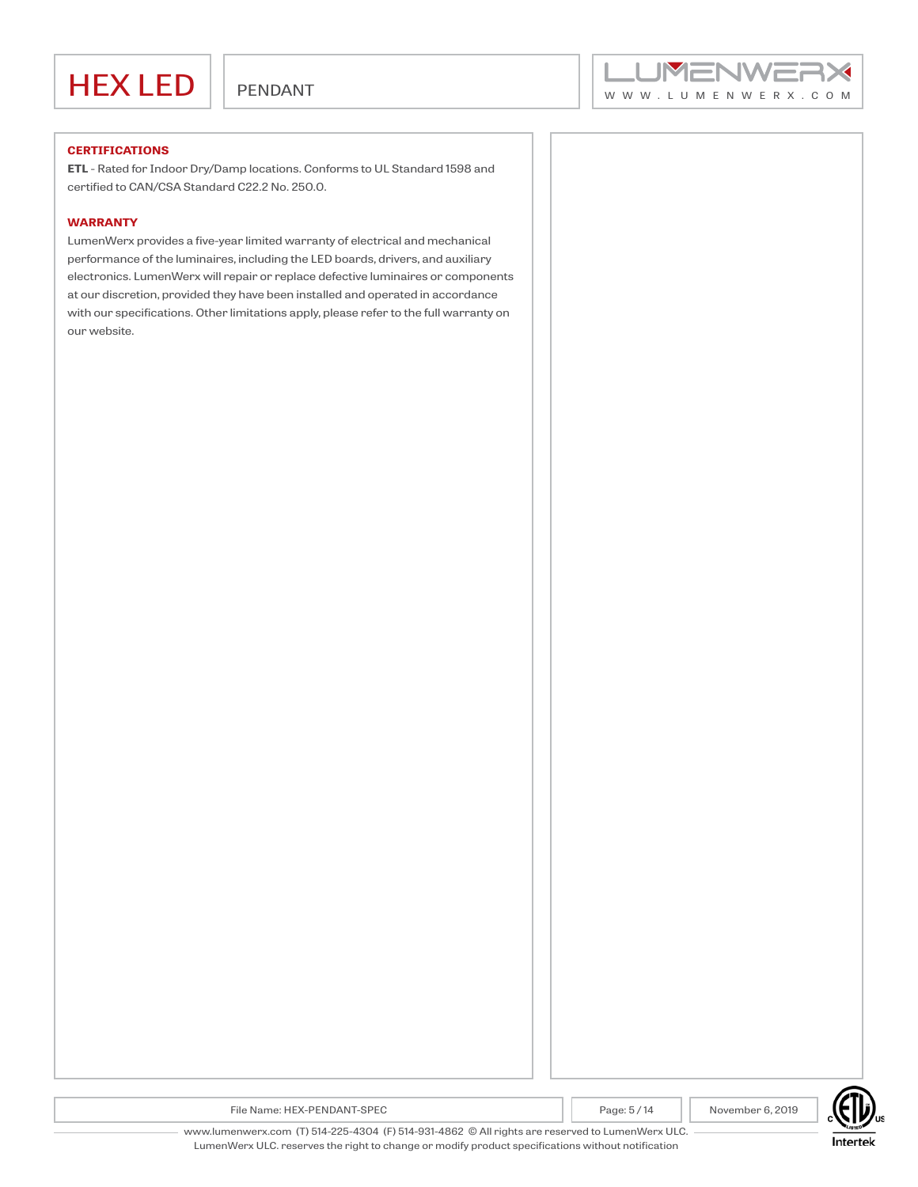

#### **CERTIFICATIONS**

**ETL** - Rated for Indoor Dry/Damp locations. Conforms to UL Standard 1598 and certified to CAN/CSA Standard C22.2 No. 250.0.

#### **WARRANTY**

LumenWerx provides a five-year limited warranty of electrical and mechanical performance of the luminaires, including the LED boards, drivers, and auxiliary electronics. LumenWerx will repair or replace defective luminaires or components at our discretion, provided they have been installed and operated in accordance with our specifications. Other limitations apply, please refer to the full warranty on our website.



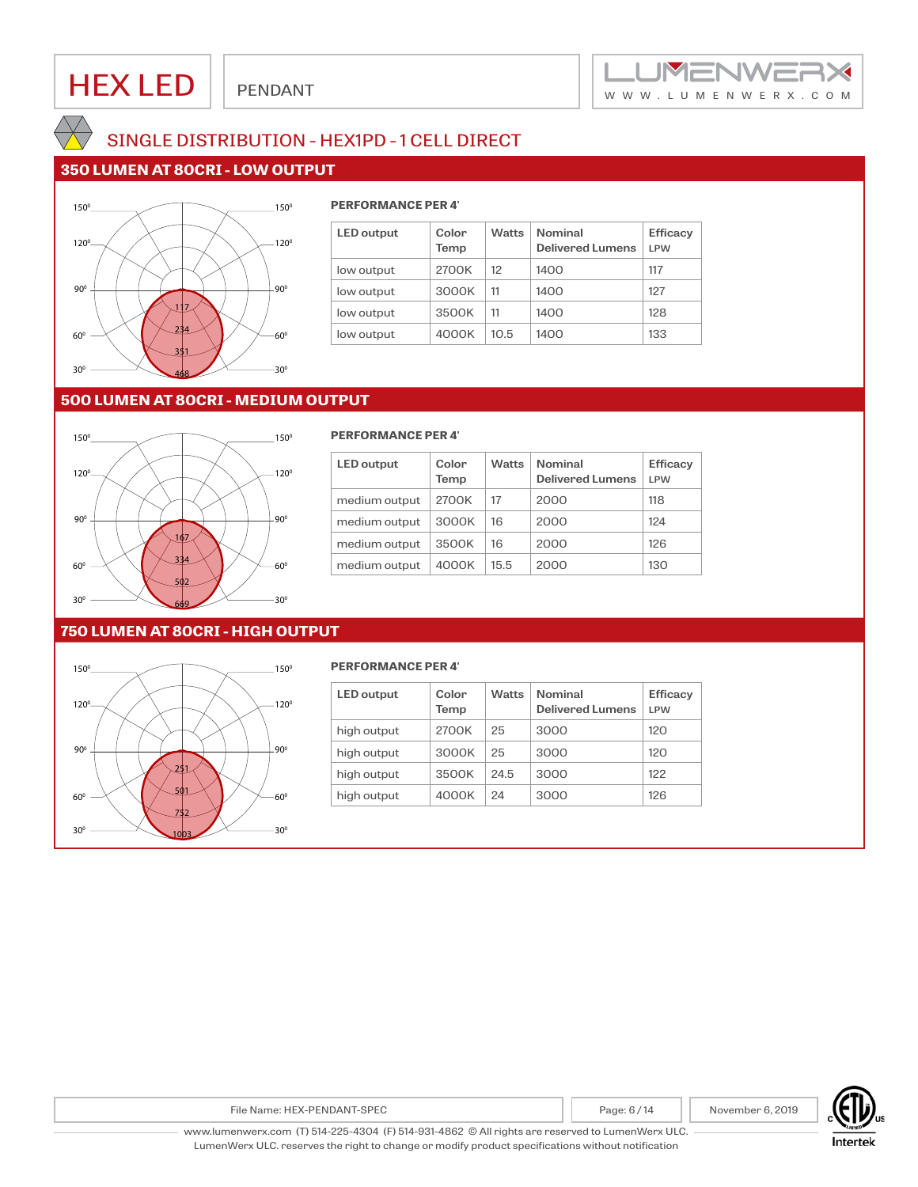



## SINGLE DISTRIBUTION - HEX1PD - 1 CELL DIRECT

## **350 LUMEN AT 80CRI - LOW OUTPUT**



### **PERFORMANCE PER 4'**

| <b>LED</b> output | Color<br>Temp | <b>Watts</b> | <b>Nominal</b><br><b>Delivered Lumens</b> | <b>Efficacy</b><br><b>LPW</b> |
|-------------------|---------------|--------------|-------------------------------------------|-------------------------------|
| low output        | 2700K         | 12           | 1400                                      | 117                           |
| low output        | 3000K         | 11           | 1400                                      | 127                           |
| low output        | 3500K         | 11           | 1400                                      | 128                           |
| low output        | 4000K         | 10.5         | 1400                                      | 133                           |

## **500 LUMEN AT 80CRI - MEDIUM OUTPUT**



#### **PERFORMANCE PER 4'**

| <b>LED</b> output | Color<br>Temp | <b>Watts</b> | <b>Nominal</b><br><b>Delivered Lumens</b> | <b>Efficacy</b><br>I PW |
|-------------------|---------------|--------------|-------------------------------------------|-------------------------|
| medium output     | 2700K         | 17           | 2000                                      | 118                     |
| medium output     | 3000K         | 16           | 2000                                      | 124                     |
| medium output     | 3500K         | 16           | 2000                                      | 126                     |
| medium output     | 4000K         | 15.5         | 2000                                      | 130                     |

### **750 LUMEN AT 80CRI - HIGH OUTPUT**



#### **PERFORMANCE PER 4'**

| <b>LED</b> output | Color<br>Temp | <b>Watts</b> | <b>Nominal</b><br>Delivered Lumens | <b>Efficacy</b><br>I PW |
|-------------------|---------------|--------------|------------------------------------|-------------------------|
| high output       | 2700K         | 25           | 3000                               | 120                     |
| high output       | 3000K         | 25           | 3000                               | 120                     |
| high output       | 3500K         | 24.5         | 3000                               | 122                     |
| high output       | 4000K         | 24           | 3000                               | 126                     |

File Name: HEX-PENDANT-SPEC **Page: 6 / 14** Page: 6 / 14 November 6, 2019

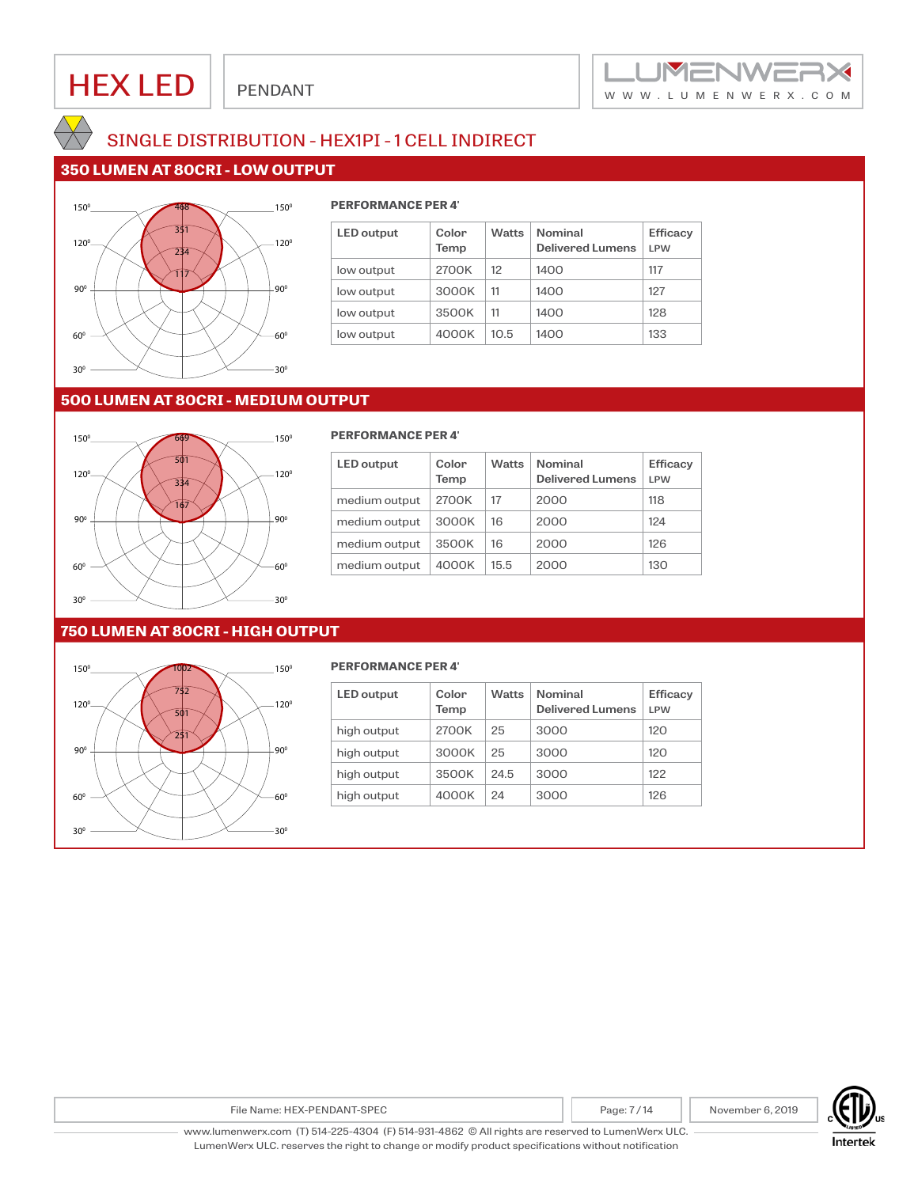

## SINGLE DISTRIBUTION - HEX1PI - 1 CELL INDIRECT

## **350 LUMEN AT 80CRI - LOW OUTPUT**



### 468 **PERFORMANCE PER 4'**

| <b>LED</b> output | Color<br>Temp | <b>Watts</b> | <b>Nominal</b><br><b>Delivered Lumens</b> | <b>Efficacy</b><br><b>LPW</b> |
|-------------------|---------------|--------------|-------------------------------------------|-------------------------------|
| low output        | 2700K         | 12           | 1400                                      | 117                           |
| low output        | 3000K         | 11           | 1400                                      | 127                           |
| low output        | 3500K         | 11           | 1400                                      | 128                           |
| low output        | 4000K         | 10.5         | 1400                                      | 133                           |

## **500 LUMEN AT 80CRI - MEDIUM OUTPUT**



#### 669 **PERFORMANCE PER 4'**

| <b>LED</b> output | Color<br>Temp | <b>Watts</b> | <b>Nominal</b><br><b>Delivered Lumens</b> | <b>Efficacy</b><br>I PW |
|-------------------|---------------|--------------|-------------------------------------------|-------------------------|
| medium output     | 2700K         | 17           | 2000                                      | 118                     |
| medium output     | 3000K         | 16           | 2000                                      | 124                     |
| medium output     | 3500K         | 16           | 2000                                      | 126                     |
| medium output     | 4000K         | 15.5         | 2000                                      | 130                     |

### **750 LUMEN AT 80CRI - HIGH OUTPUT**



#### **PERFORMANCE PER 4'**

| <b>LED</b> output | Color<br>Temp | <b>Watts</b> | <b>Nominal</b><br>Delivered Lumens | <b>Efficacy</b><br>I PW |
|-------------------|---------------|--------------|------------------------------------|-------------------------|
| high output       | 2700K         | 25           | 3000                               | 120                     |
| high output       | 3000K         | 25           | 3000                               | 120                     |
| high output       | 3500K         | 24.5         | 3000                               | 122                     |
| high output       | 4000K         | 24           | 3000                               | 126                     |

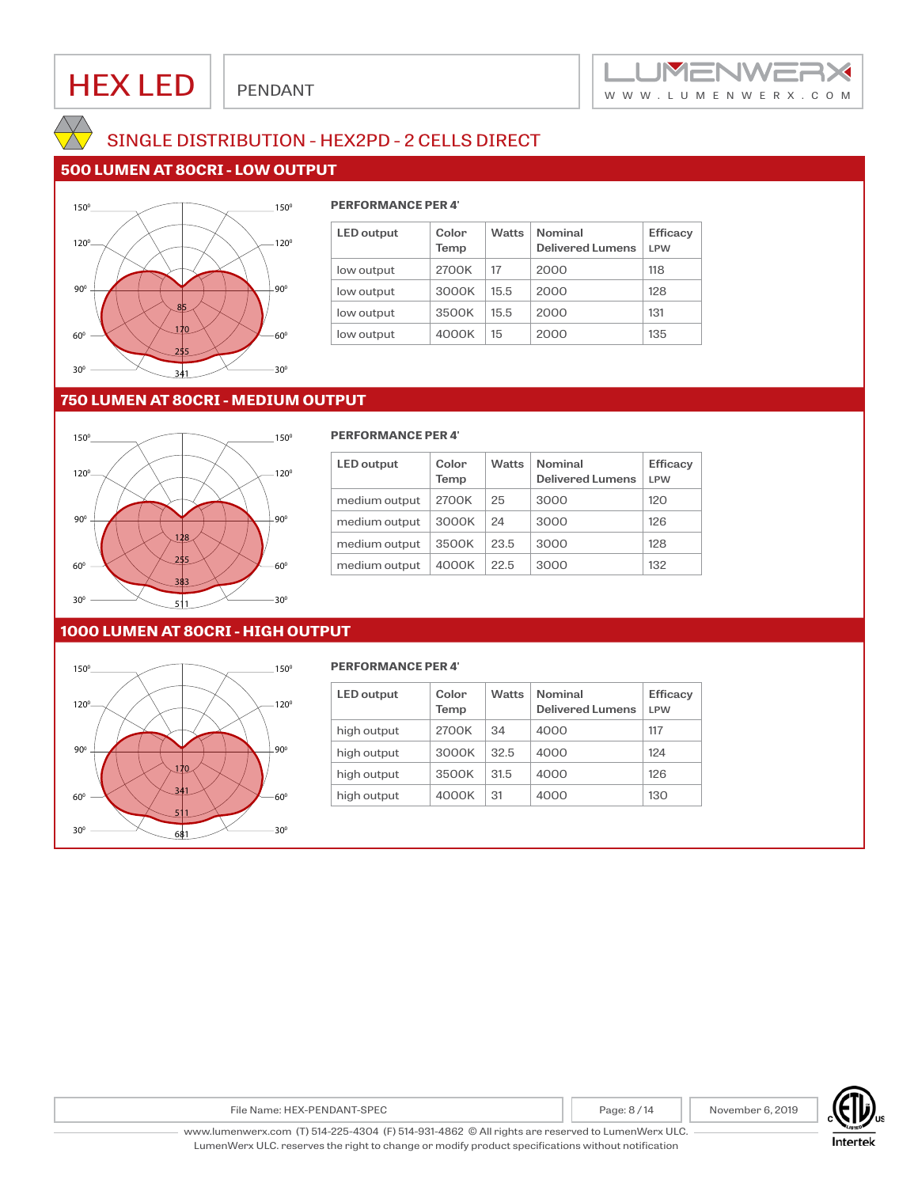



## SINGLE DISTRIBUTION - HEX2PD - 2 CELLS DIRECT

## **500 LUMEN AT 80CRI - LOW OUTPUT**



### **PERFORMANCE PER 4'**

| <b>LED</b> output | Color<br>Temp | <b>Watts</b> | <b>Nominal</b><br><b>Delivered Lumens</b> | <b>Efficacy</b><br><b>LPW</b> |
|-------------------|---------------|--------------|-------------------------------------------|-------------------------------|
| low output        | 2700K         | 17           | 2000                                      | 118                           |
| low output        | 3000K         | 15.5         | 2000                                      | 128                           |
| low output        | 3500K         | 15.5         | 2000                                      | 131                           |
| low output        | 4000K         | 15           | 2000                                      | 135                           |

## **750 LUMEN AT 80CRI - MEDIUM OUTPUT**



#### **PERFORMANCE PER 4'**

| <b>LED</b> output | Color<br>Temp | <b>Watts</b> | <b>Nominal</b><br><b>Delivered Lumens</b> | <b>Efficacy</b><br>I PW |
|-------------------|---------------|--------------|-------------------------------------------|-------------------------|
| medium output     | 2700K         | 25           | 3000                                      | 120                     |
| medium output     | 3000K         | 24           | 3000                                      | 126                     |
| medium output     | 3500K         | 23.5         | 3000                                      | 128                     |
| medium output     | 4000K         | 22.5         | 3000                                      | 132                     |

### **1000 LUMEN AT 80CRI - HIGH OUTPUT**



#### **PERFORMANCE PER 4'**

| <b>LED</b> output | Color<br>Temp | <b>Watts</b> | <b>Nominal</b><br>Delivered Lumens | <b>Efficacy</b><br>I PW |
|-------------------|---------------|--------------|------------------------------------|-------------------------|
| high output       | 2700K         | 34           | 4000                               | 117                     |
| high output       | 3000K         | 32.5         | 4000                               | 124                     |
| high output       | 3500K         | 31.5         | 4000                               | 126                     |
| high output       | 4000K         | 31           | 4000                               | 130                     |

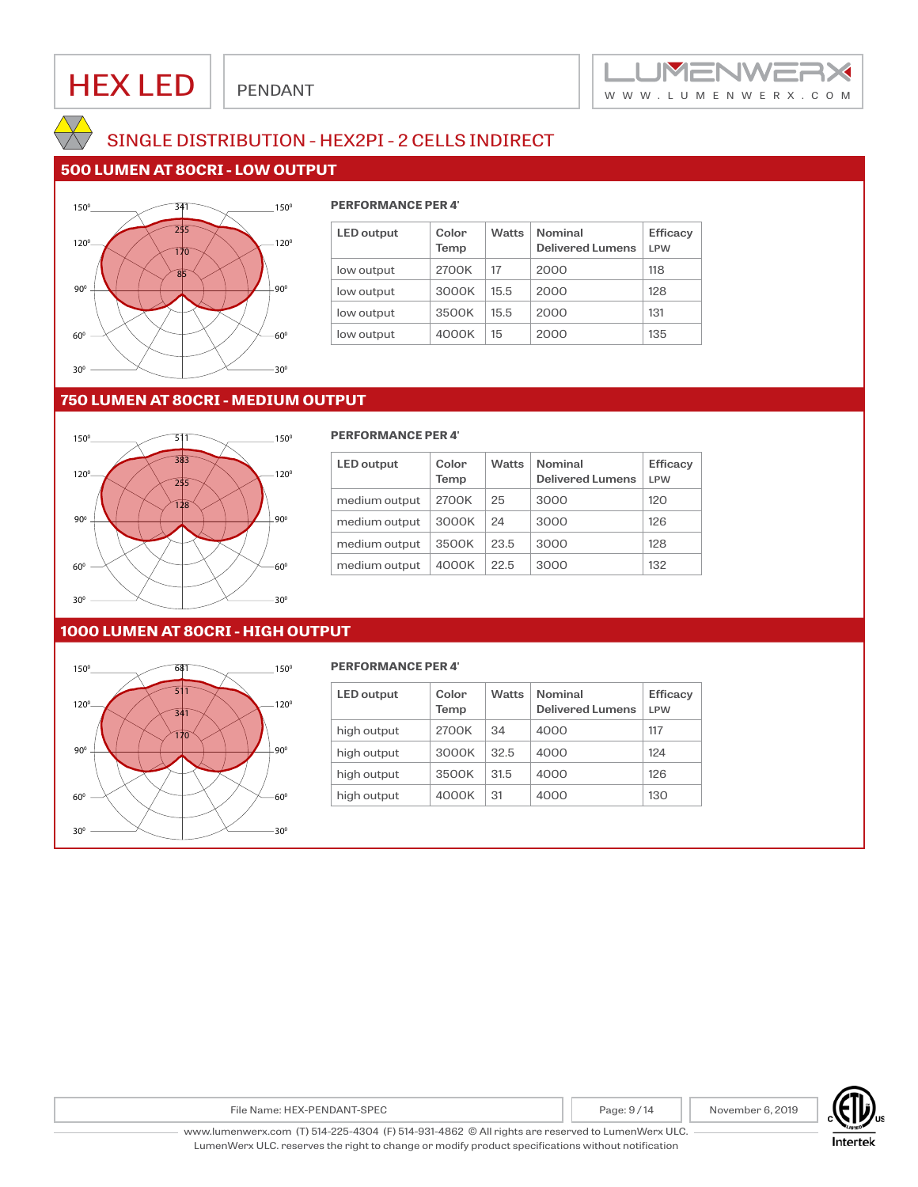



## SINGLE DISTRIBUTION - HEX2PI - 2 CELLS INDIRECT

## **500 LUMEN AT 80CRI - LOW OUTPUT**



### 341 **PERFORMANCE PER 4'**

| <b>LED</b> output | Color<br>Temp | <b>Watts</b> | <b>Nominal</b><br><b>Delivered Lumens</b> | <b>Efficacy</b><br><b>LPW</b> |
|-------------------|---------------|--------------|-------------------------------------------|-------------------------------|
| low output        | 2700K         | 17           | 2000                                      | 118                           |
| low output        | 3000K         | 15.5         | 2000                                      | 128                           |
| low output        | 3500K         | 15.5         | 2000                                      | 131                           |
| low output        | 4000K         | 15           | 2000                                      | 135                           |

### **750 LUMEN AT 80CRI - MEDIUM OUTPUT**



| <b>LED</b> output | Color<br>Temp | <b>Watts</b> | <b>Nominal</b><br><b>Delivered Lumens</b> | <b>Efficacy</b><br>I PW |
|-------------------|---------------|--------------|-------------------------------------------|-------------------------|
| medium output     | 2700K         | 25           | 3000                                      | 120                     |
| medium output     | 3000K         | 24           | 3000                                      | 126                     |
| medium output     | 3500K         | 23.5         | 3000                                      | 128                     |
| medium output     | 4000K         | 22.5         | 3000                                      | 132                     |

### **1000 LUMEN AT 80CRI - HIGH OUTPUT**



#### 681 **PERFORMANCE PER 4'**

| <b>LED</b> output | Color<br>Temp | <b>Watts</b> | <b>Nominal</b><br><b>Delivered Lumens</b> | <b>Efficacy</b><br>I PW |
|-------------------|---------------|--------------|-------------------------------------------|-------------------------|
| high output       | 2700K         | 34           | 4000                                      | 117                     |
| high output       | 3000K         | 32.5         | 4000                                      | 124                     |
| high output       | 3500K         | 31.5         | 4000                                      | 126                     |
| high output       | 4000K         | 31           | 4000                                      | 130                     |

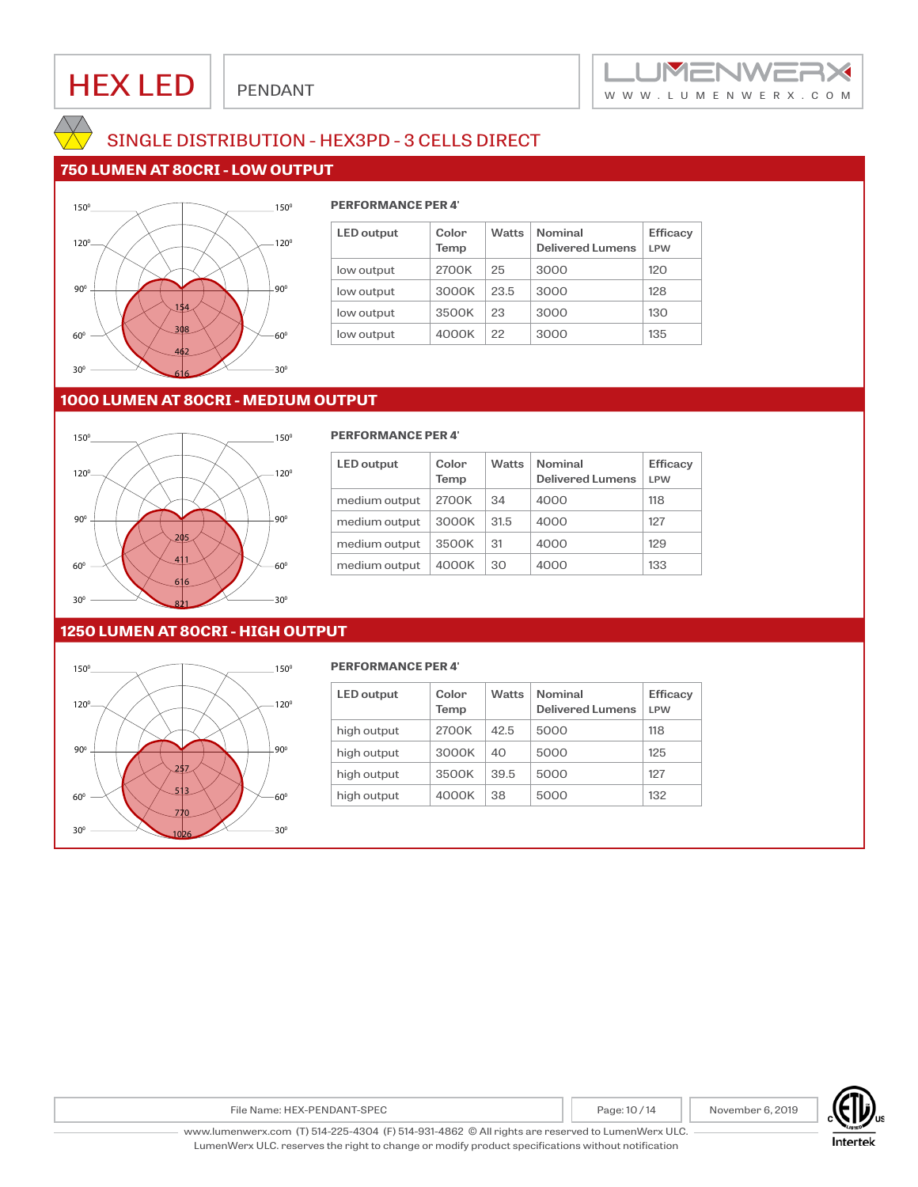



## SINGLE DISTRIBUTION - HEX3PD - 3 CELLS DIRECT

## **750 LUMEN AT 80CRI - LOW OUTPUT**



### **PERFORMANCE PER 4'**

| <b>LED</b> output | Color<br>Temp | <b>Watts</b> | <b>Nominal</b><br><b>Delivered Lumens</b> | <b>Efficacy</b><br>I PW |
|-------------------|---------------|--------------|-------------------------------------------|-------------------------|
| low output        | 2700K         | 25           | 3000                                      | 120                     |
| low output        | 3000K         | 23.5         | 3000                                      | 128                     |
| low output        | 3500K         | 23           | 3000                                      | 130                     |
| low output        | 4000K         | 22           | 3000                                      | 135                     |

## **1000 LUMEN AT 80CRI - MEDIUM OUTPUT**



#### **PERFORMANCE PER 4'**

| <b>LED</b> output | Color<br>Temp | <b>Watts</b> | <b>Nominal</b><br><b>Delivered Lumens</b> | <b>Efficacy</b><br>I PW |
|-------------------|---------------|--------------|-------------------------------------------|-------------------------|
| medium output     | 2700K         | 34           | 4000                                      | 118                     |
| medium output     | 3000K         | 31.5         | 4000                                      | 127                     |
| medium output     | 3500K         | 31           | 4000                                      | 129                     |
| medium output     | 4000K         | 30           | 4000                                      | 133                     |

### **1250 LUMEN AT 80CRI - HIGH OUTPUT**



#### **PERFORMANCE PER 4'**

| <b>LED</b> output | Color<br>Temp | <b>Watts</b> | <b>Nominal</b><br>Delivered Lumens | <b>Efficacv</b><br>I PW |
|-------------------|---------------|--------------|------------------------------------|-------------------------|
| high output       | 2700K         | 42.5         | 5000                               | 118                     |
| high output       | 3000K         | 40           | 5000                               | 125                     |
| high output       | 3500K         | 39.5         | 5000                               | 127                     |
| high output       | 4000K         | 38           | 5000                               | 132                     |

**Intertek**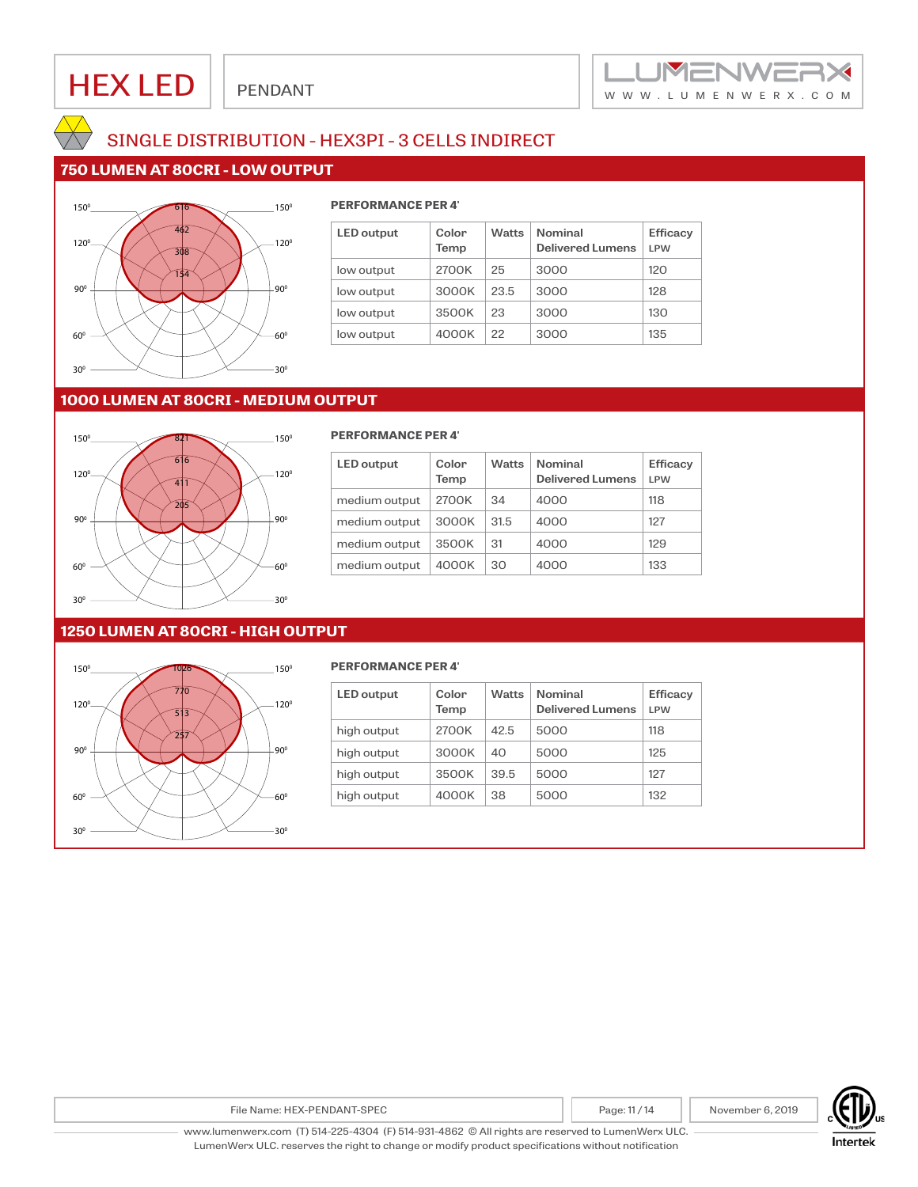



## SINGLE DISTRIBUTION - HEX3PI - 3 CELLS INDIRECT

## **750 LUMEN AT 80CRI - LOW OUTPUT**



#### 616 **PERFORMANCE PER 4'**

| <b>LED</b> output | Color<br>Temp | <b>Watts</b> | <b>Nominal</b><br><b>Delivered Lumens</b> | <b>Efficacy</b><br>I PW |
|-------------------|---------------|--------------|-------------------------------------------|-------------------------|
| low output        | 2700K         | 25           | 3000                                      | 120                     |
| low output        | 3000K         | 23.5         | 3000                                      | 128                     |
| low output        | 3500K         | 23           | 3000                                      | 130                     |
| low output        | 4000K         | 22           | 3000                                      | 135                     |

## **1000 LUMEN AT 80CRI - MEDIUM OUTPUT**



#### 821 **PERFORMANCE PER 4'**

| <b>LED</b> output | Color<br>Temp | <b>Watts</b> | <b>Nominal</b><br><b>Delivered Lumens</b> | <b>Efficacy</b><br>I PW |
|-------------------|---------------|--------------|-------------------------------------------|-------------------------|
| medium output     | 2700K         | 34           | 4000                                      | 118                     |
| medium output     | 3000K         | 31.5         | 4000                                      | 127                     |
| medium output     | 3500K         | 31           | 4000                                      | 129                     |
| medium output     | 4000K         | 30           | 4000                                      | 133                     |

### **1250 LUMEN AT 80CRI - HIGH OUTPUT**



#### **PERFORMANCE PER 4'**

| <b>LED</b> output | Color<br>Temp | <b>Watts</b> | <b>Nominal</b><br><b>Delivered Lumens</b> |     |
|-------------------|---------------|--------------|-------------------------------------------|-----|
| high output       | 2700K         | 42.5         | 5000                                      | 118 |
| high output       | 3000K         | 40           | 5000                                      | 125 |
| high output       | 3500K         | 39.5         | 5000                                      | 127 |
| high output       | 4000K         | 38           | 5000                                      | 132 |

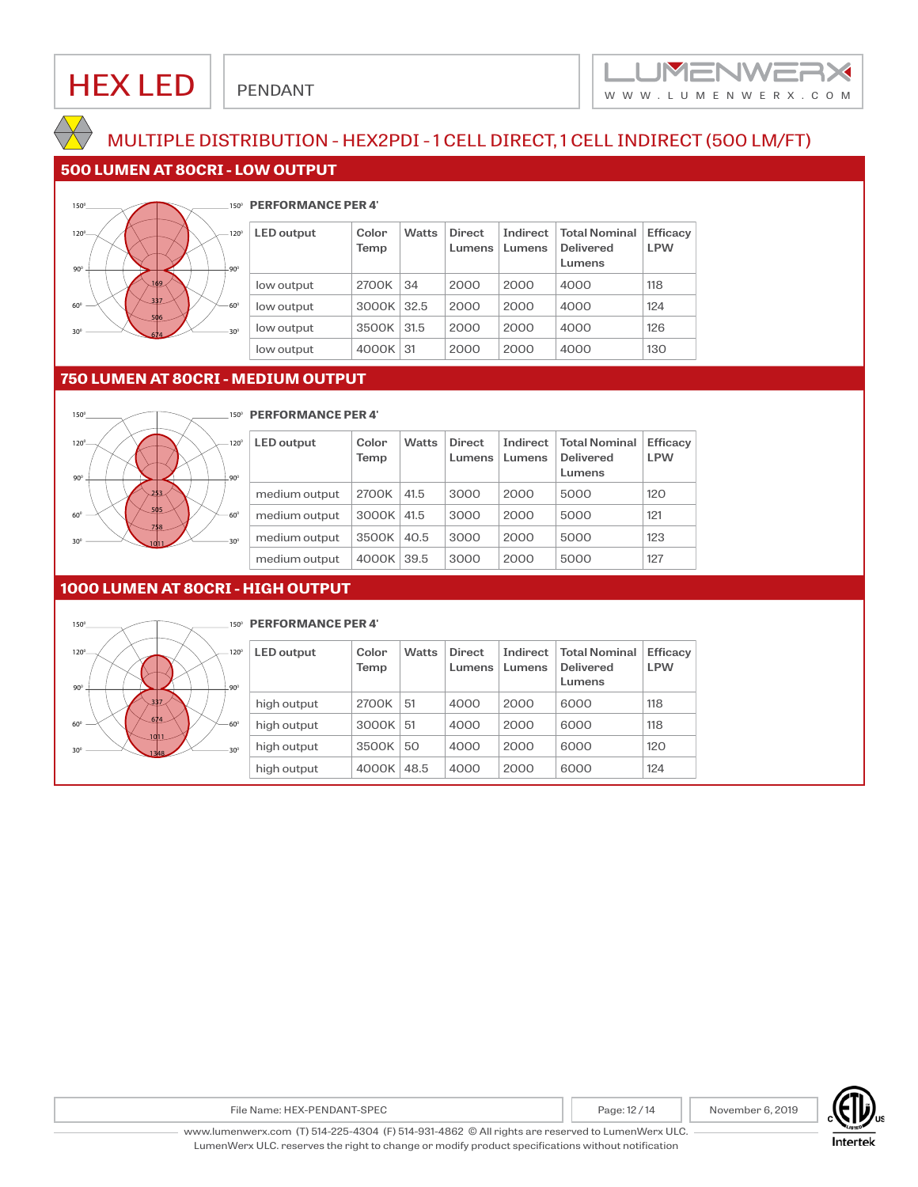

## MULTIPLE DISTRIBUTION - HEX2PDI - 1 CELL DIRECT, 1 CELL INDIRECT (500 LM/FT)

### **500 LUMEN AT 80CRI - LOW OUTPUT**



#### 1500 **PERFORMANCE PER 4'**

| <b>LED</b> output | Color<br>Temp | <b>Watts</b> | <b>Direct</b><br>Lumens | Indirect<br>Lumens | <b>Total Nominal</b><br>Delivered<br>Lumens | Efficacy<br><b>LPW</b> |
|-------------------|---------------|--------------|-------------------------|--------------------|---------------------------------------------|------------------------|
| low output        | 2700K         | 34           | 2000                    | 2000               | 4000                                        | 118                    |
| low output        | 3000K         | 32.5         | 2000                    | 2000               | 4000                                        | 124                    |
| low output        | 3500K         | 31.5         | 2000                    | 2000               | 4000                                        | 126                    |
| low output        | 4000K 31      |              | 2000                    | 2000               | 4000                                        | 130                    |

## **750 LUMEN AT 80CRI - MEDIUM OUTPUT**



### 1500 **PERFORMANCE PER 4'**

| <b>LED</b> output | Color<br>Temp | <b>Watts</b> | <b>Direct</b><br>Lumens | Indirect<br>Lumens | <b>Total Nominal</b><br><b>Delivered</b><br>Lumens | Efficacy<br><b>LPW</b> |
|-------------------|---------------|--------------|-------------------------|--------------------|----------------------------------------------------|------------------------|
| medium output     | 2700K         | 41.5         | 3000                    | 2000               | 5000                                               | 120                    |
| medium output     | 3000K         | 41.5         | 3000                    | 2000               | 5000                                               | 121                    |
| medium output     | 3500K         | 40.5         | 3000                    | 2000               | 5000                                               | 123                    |
| medium output     | 4000K         | 39.5         | 3000                    | 2000               | 5000                                               | 127                    |

### **1000 LUMEN AT 80CRI - HIGH OUTPUT**



### 1500 **PERFORMANCE PER 4'**

| <b>LED</b> output | Color<br>Temp | <b>Watts</b> | <b>Direct</b><br>Lumens | Indirect<br>Lumens | Total Nominal<br><b>Delivered</b><br>Lumens | Efficacy<br><b>LPW</b> |
|-------------------|---------------|--------------|-------------------------|--------------------|---------------------------------------------|------------------------|
| high output       | 2700K         | 51           | 4000                    | 2000               | 6000                                        | 118                    |
| high output       | 3000K         | 51           | 4000                    | 2000               | 6000                                        | 118                    |
| high output       | 3500K         | 50           | 4000                    | 2000               | 6000                                        | 120                    |
| high output       | 4000K         | 48.5         | 4000                    | 2000               | 6000                                        | 124                    |



File Name: HEX-PENDANT-SPEC **Page: 12/14** November 6, 2019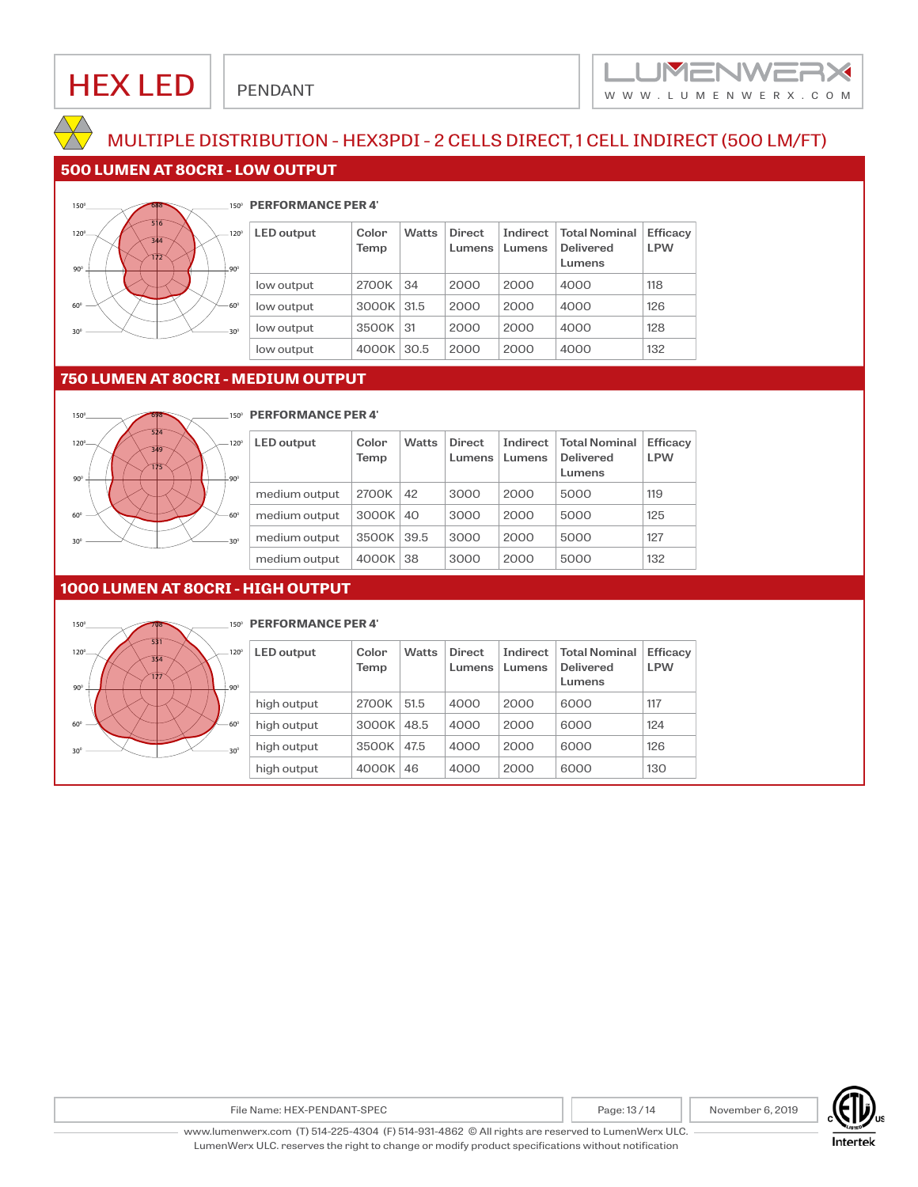

## MULTIPLE DISTRIBUTION - HEX3PDI - 2 CELLS DIRECT, 1 CELL INDIRECT (500 LM/FT)

## **500 LUMEN AT 80CRI - LOW OUTPUT**



#### **PERFORMANCE PER 4'**

| <b>LED</b> output | Color<br>Temp | <b>Watts</b> | <b>Direct</b><br>Lumens | Indirect<br>Lumens | <b>Total Nominal</b><br><b>Delivered</b><br>Lumens | <b>Efficacy</b><br><b>LPW</b> |
|-------------------|---------------|--------------|-------------------------|--------------------|----------------------------------------------------|-------------------------------|
| low output        | 2700K         | 34           | 2000                    | 2000               | 4000                                               | 118                           |
| low output        | 3000K         | 31.5         | 2000                    | 2000               | 4000                                               | 126                           |
| low output        | 3500K         | 31           | 2000                    | 2000               | 4000                                               | 128                           |
| low output        | 4000K         | 30.5         | 2000                    | 2000               | 4000                                               | 132                           |

### **750 LUMEN AT 80CRI - MEDIUM OUTPUT**



### **FREPORMANCE PER 4'**

| <b>LED</b> output | Color<br>Temp | <b>Watts</b> | <b>Direct</b><br>Lumens | Indirect<br>Lumens | <b>Total Nominal</b><br><b>Delivered</b><br>Lumens | Efficacy<br><b>LPW</b> |
|-------------------|---------------|--------------|-------------------------|--------------------|----------------------------------------------------|------------------------|
| medium output     | 2700K         | 42           | 3000                    | 2000               | 5000                                               | 119                    |
| medium output     | 3000K         | 40           | 3000                    | 2000               | 5000                                               | 125                    |
| medium output     | 3500K         | 39.5         | 3000                    | 2000               | 5000                                               | 127                    |
| medium output     | 4000K         | 38           | 3000                    | 2000               | 5000                                               | 132                    |

### **1000 LUMEN AT 80CRI - HIGH OUTPUT**



### **PERFORMANCE PER 4'**

| <b>LED</b> output | Color<br>Temp | <b>Watts</b> | <b>Direct</b><br>Lumens | Indirect<br>Lumens | <b>Total Nominal</b><br><b>Delivered</b><br>Lumens | Efficacy<br><b>LPW</b> |
|-------------------|---------------|--------------|-------------------------|--------------------|----------------------------------------------------|------------------------|
| high output       | 2700K         | 51.5         | 4000                    | 2000               | 6000                                               | 117                    |
| high output       | 3000K         | 48.5         | 4000                    | 2000               | 6000                                               | 124                    |
| high output       | 3500K         | 47.5         | 4000                    | 2000               | 6000                                               | 126                    |
| high output       | 4000K         | 46           | 4000                    | 2000               | 6000                                               | 130                    |



File Name: HEX-PENDANT-SPEC Page: 13/14 November 6, 2019

www.lumenwerx.com (T) 514-225-4304 (F) 514-931-4862 © All rights are reserved to LumenWerx ULC. LumenWerx ULC. reserves the right to change or modify product specifications without notification

Intertek